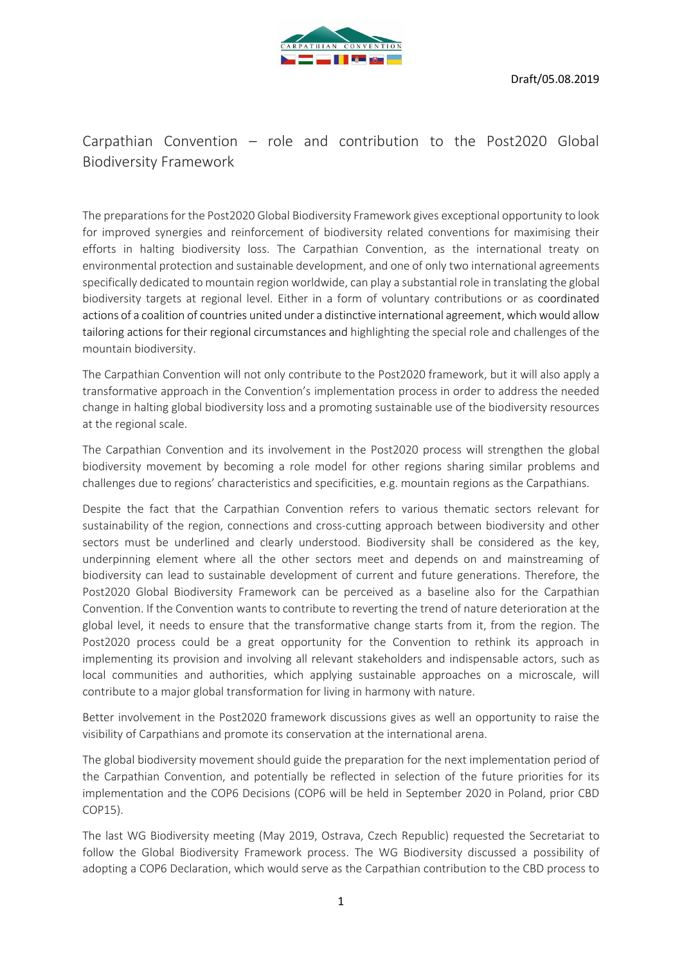

# Carpathian Convention – role and contribution to the Post2020 Global Biodiversity Framework

The preparations for the Post2020 Global Biodiversity Framework gives exceptional opportunity to look for improved synergies and reinforcement of biodiversity related conventions for maximising their efforts in halting biodiversity loss. The Carpathian Convention, as the international treaty on environmental protection and sustainable development, and one of only two international agreements specifically dedicated to mountain region worldwide, can play a substantial role in translating the global biodiversity targets at regional level. Either in a form of voluntary contributions or as coordinated actions of a coalition of countries united under a distinctive international agreement, which would allow tailoring actions for their regional circumstances and highlighting the special role and challenges of the mountain biodiversity.

The Carpathian Convention will not only contribute to the Post2020 framework, but it will also apply a transformative approach in the Convention's implementation process in order to address the needed change in halting global biodiversity loss and a promoting sustainable use of the biodiversity resources at the regional scale.

The Carpathian Convention and its involvement in the Post2020 process will strengthen the global biodiversity movement by becoming a role model for other regions sharing similar problems and challenges due to regions' characteristics and specificities, e.g. mountain regions as the Carpathians.

Despite the fact that the Carpathian Convention refers to various thematic sectors relevant for sustainability of the region, connections and cross-cutting approach between biodiversity and other sectors must be underlined and clearly understood. Biodiversity shall be considered as the key, underpinning element where all the other sectors meet and depends on and mainstreaming of biodiversity can lead to sustainable development of current and future generations. Therefore, the Post2020 Global Biodiversity Framework can be perceived as a baseline also for the Carpathian Convention. If the Convention wants to contribute to reverting the trend of nature deterioration at the global level, it needs to ensure that the transformative change starts from it, from the region. The Post2020 process could be a great opportunity for the Convention to rethink its approach in implementing its provision and involving all relevant stakeholders and indispensable actors, such as local communities and authorities, which applying sustainable approaches on a microscale, will contribute to a major global transformation for living in harmony with nature.

Better involvement in the Post2020 framework discussions gives as well an opportunity to raise the visibility of Carpathians and promote its conservation at the international arena.

The global biodiversity movement should guide the preparation for the next implementation period of the Carpathian Convention, and potentially be reflected in selection of the future priorities for its implementation and the COP6 Decisions (COP6 will be held in September 2020 in Poland, prior CBD COP15).

The last WG Biodiversity meeting (May 2019, Ostrava, Czech Republic) requested the Secretariat to follow the Global Biodiversity Framework process. The WG Biodiversity discussed a possibility of adopting a COP6 Declaration, which would serve as the Carpathian contribution to the CBD process to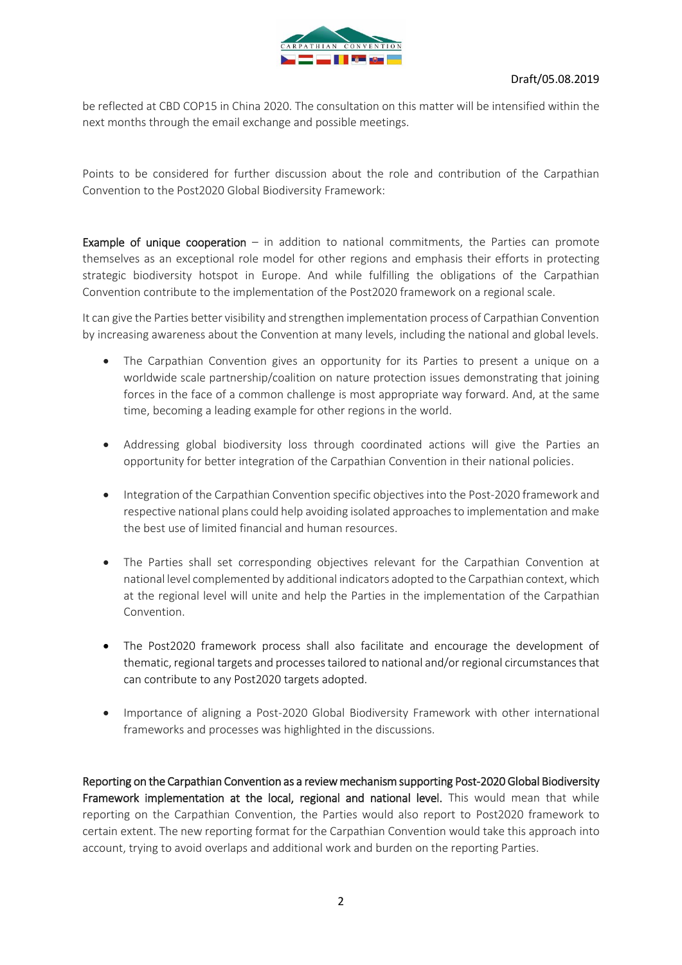

be reflected at CBD COP15 in China 2020. The consultation on this matter will be intensified within the next months through the email exchange and possible meetings.

Points to be considered for further discussion about the role and contribution of the Carpathian Convention to the Post2020 Global Biodiversity Framework:

**Example of unique cooperation**  $-$  in addition to national commitments, the Parties can promote themselves as an exceptional role model for other regions and emphasis their efforts in protecting strategic biodiversity hotspot in Europe. And while fulfilling the obligations of the Carpathian Convention contribute to the implementation of the Post2020 framework on a regional scale.

It can give the Parties better visibility and strengthen implementation process of Carpathian Convention by increasing awareness about the Convention at many levels, including the national and global levels.

- The Carpathian Convention gives an opportunity for its Parties to present a unique on a worldwide scale partnership/coalition on nature protection issues demonstrating that joining forces in the face of a common challenge is most appropriate way forward. And, at the same time, becoming a leading example for other regions in the world.
- Addressing global biodiversity loss through coordinated actions will give the Parties an opportunity for better integration of the Carpathian Convention in their national policies.
- Integration of the Carpathian Convention specific objectives into the Post-2020 framework and respective national plans could help avoiding isolated approaches to implementation and make the best use of limited financial and human resources.
- The Parties shall set corresponding objectives relevant for the Carpathian Convention at national level complemented by additional indicators adopted to the Carpathian context, which at the regional level will unite and help the Parties in the implementation of the Carpathian Convention.
- The Post2020 framework process shall also facilitate and encourage the development of thematic, regional targets and processes tailored to national and/or regional circumstances that can contribute to any Post2020 targets adopted.
- Importance of aligning a Post-2020 Global Biodiversity Framework with other international frameworks and processes was highlighted in the discussions.

Reporting on the Carpathian Convention as a review mechanism supporting Post-2020 Global Biodiversity Framework implementation at the local, regional and national level. This would mean that while reporting on the Carpathian Convention, the Parties would also report to Post2020 framework to certain extent. The new reporting format for the Carpathian Convention would take this approach into account, trying to avoid overlaps and additional work and burden on the reporting Parties.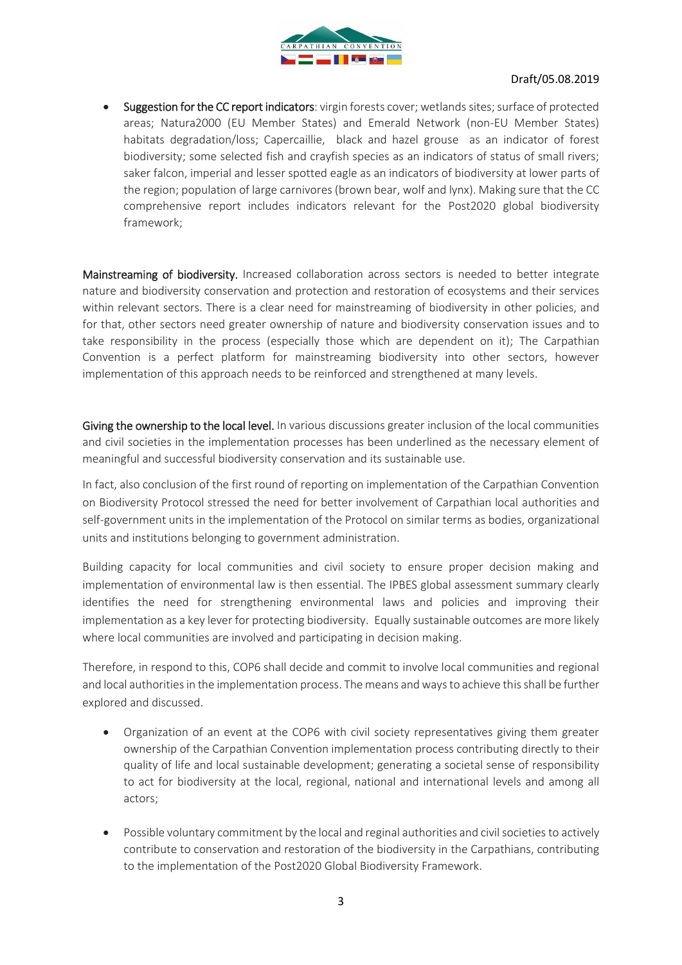

Suggestion for the CC report indicators: virgin forests cover; wetlands sites; surface of protected areas; Natura2000 (EU Member States) and Emerald Network (non-EU Member States) habitats degradation/loss; Capercaillie, black and hazel grouse as an indicator of forest biodiversity; some selected fish and crayfish species as an indicators of status of small rivers; saker falcon, imperial and lesser spotted eagle as an indicators of biodiversity at lower parts of the region; population of large carnivores (brown bear, wolf and lynx). Making sure that the CC comprehensive report includes indicators relevant for the Post2020 global biodiversity framework;

Mainstreaming of biodiversity. Increased collaboration across sectors is needed to better integrate nature and biodiversity conservation and protection and restoration of ecosystems and their services within relevant sectors. There is a clear need for mainstreaming of biodiversity in other policies, and for that, other sectors need greater ownership of nature and biodiversity conservation issues and to take responsibility in the process (especially those which are dependent on it); The Carpathian Convention is a perfect platform for mainstreaming biodiversity into other sectors, however implementation of this approach needs to be reinforced and strengthened at many levels.

Giving the ownership to the local level. In various discussions greater inclusion of the local communities and civil societies in the implementation processes has been underlined as the necessary element of meaningful and successful biodiversity conservation and its sustainable use.

In fact, also conclusion of the first round of reporting on implementation of the Carpathian Convention on Biodiversity Protocol stressed the need for better involvement of Carpathian local authorities and self-government units in the implementation of the Protocol on similar terms as bodies, organizational units and institutions belonging to government administration.

Building capacity for local communities and civil society to ensure proper decision making and implementation of environmental law is then essential. The IPBES global assessment summary clearly identifies the need for strengthening environmental laws and policies and improving their implementation as a key lever for protecting biodiversity. Equally sustainable outcomes are more likely where local communities are involved and participating in decision making.

Therefore, in respond to this, COP6 shall decide and commit to involve local communities and regional and local authorities in the implementation process. The means and ways to achieve this shall be further explored and discussed.

- Organization of an event at the COP6 with civil society representatives giving them greater ownership of the Carpathian Convention implementation process contributing directly to their quality of life and local sustainable development; generating a societal sense of responsibility to act for biodiversity at the local, regional, national and international levels and among all actors;
- Possible voluntary commitment by the local and reginal authorities and civil societies to actively contribute to conservation and restoration of the biodiversity in the Carpathians, contributing to the implementation of the Post2020 Global Biodiversity Framework.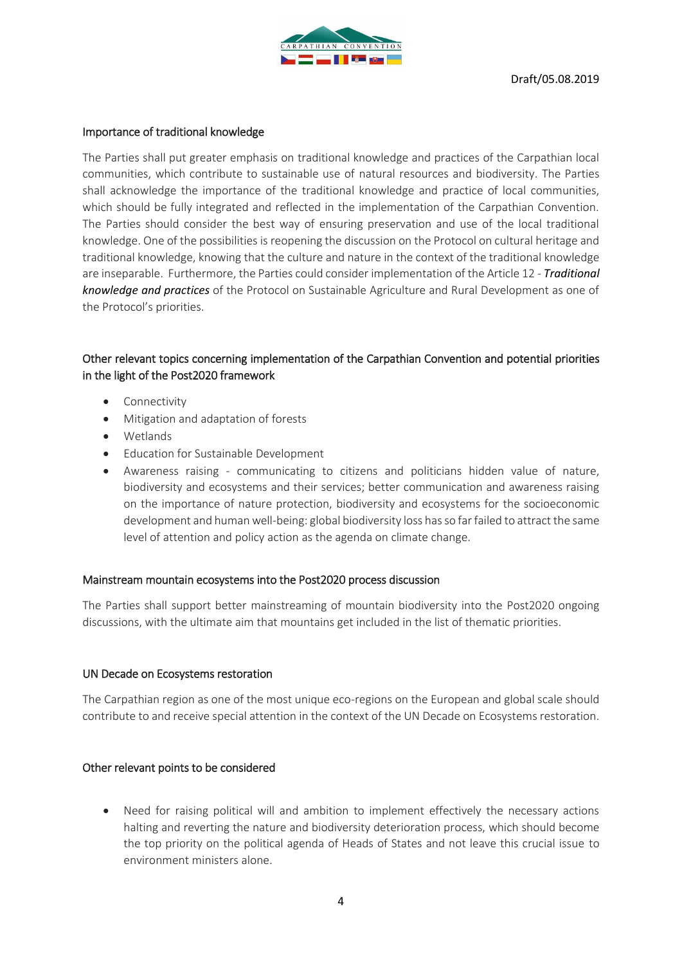

### Importance of traditional knowledge

The Parties shall put greater emphasis on traditional knowledge and practices of the Carpathian local communities, which contribute to sustainable use of natural resources and biodiversity. The Parties shall acknowledge the importance of the traditional knowledge and practice of local communities, which should be fully integrated and reflected in the implementation of the Carpathian Convention. The Parties should consider the best way of ensuring preservation and use of the local traditional knowledge. One of the possibilities is reopening the discussion on the Protocol on cultural heritage and traditional knowledge, knowing that the culture and nature in the context of the traditional knowledge are inseparable. Furthermore, the Parties could consider implementation of the Article 12 *- Traditional knowledge and practices* of the Protocol on Sustainable Agriculture and Rural Development as one of the Protocol's priorities.

# Other relevant topics concerning implementation of the Carpathian Convention and potential priorities in the light of the Post2020 framework

- **Connectivity**
- Mitigation and adaptation of forests
- Wetlands
- Education for Sustainable Development
- Awareness raising communicating to citizens and politicians hidden value of nature, biodiversity and ecosystems and their services; better communication and awareness raising on the importance of nature protection, biodiversity and ecosystems for the socioeconomic development and human well-being: global biodiversity loss has so far failed to attract the same level of attention and policy action as the agenda on climate change.

### Mainstream mountain ecosystems into the Post2020 process discussion

The Parties shall support better mainstreaming of mountain biodiversity into the Post2020 ongoing discussions, with the ultimate aim that mountains get included in the list of thematic priorities.

### UN Decade on Ecosystems restoration

The Carpathian region as one of the most unique eco-regions on the European and global scale should contribute to and receive special attention in the context of the UN Decade on Ecosystems restoration.

### Other relevant points to be considered

Need for raising political will and ambition to implement effectively the necessary actions halting and reverting the nature and biodiversity deterioration process, which should become the top priority on the political agenda of Heads of States and not leave this crucial issue to environment ministers alone.